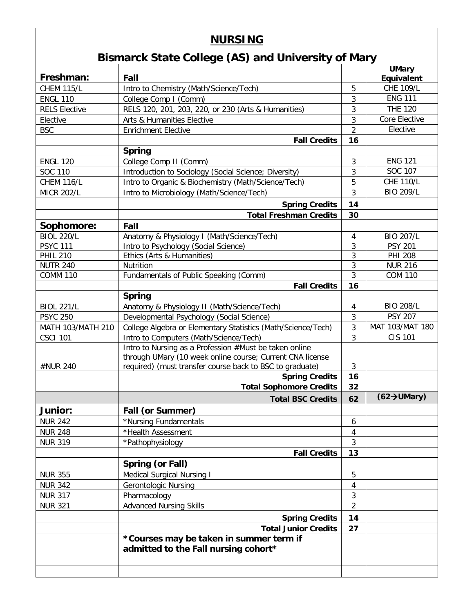## **NURSING**

## **Bismarck State College (AS) and University of Mary**

|                      |                                                              |                | <b>UMary</b>                    |
|----------------------|--------------------------------------------------------------|----------------|---------------------------------|
| Freshman:            | Fall                                                         |                | Equivalent                      |
| <b>CHEM 115/L</b>    | Intro to Chemistry (Math/Science/Tech)                       | 5              | <b>CHE 109/L</b>                |
| <b>ENGL 110</b>      | College Comp I (Comm)                                        | 3              | <b>ENG 111</b>                  |
| <b>RELS Elective</b> | RELS 120, 201, 203, 220, or 230 (Arts & Humanities)          | 3              | <b>THE 120</b>                  |
| Elective             | Arts & Humanities Elective                                   | 3              | Core Elective                   |
| <b>BSC</b>           | <b>Enrichment Elective</b>                                   | $\overline{2}$ | Elective                        |
|                      | <b>Fall Credits</b>                                          | 16             |                                 |
|                      | <b>Spring</b>                                                |                |                                 |
| <b>ENGL 120</b>      | College Comp II (Comm)                                       | 3              | <b>ENG 121</b>                  |
| SOC 110              | Introduction to Sociology (Social Science; Diversity)        | 3              | SOC 107                         |
| <b>CHEM 116/L</b>    | Intro to Organic & Biochemistry (Math/Science/Tech)          | 5              | <b>CHE 110/L</b>                |
| <b>MICR 202/L</b>    | Intro to Microbiology (Math/Science/Tech)                    | 3              | <b>BIO 209/L</b>                |
|                      | <b>Spring Credits</b>                                        | 14             |                                 |
|                      | <b>Total Freshman Credits</b>                                | 30             |                                 |
| Sophomore:           | Fall                                                         |                |                                 |
| <b>BIOL 220/L</b>    | Anatomy & Physiology I (Math/Science/Tech)                   | 4              | <b>BIO 207/L</b>                |
| <b>PSYC 111</b>      | Intro to Psychology (Social Science)                         | 3              | <b>PSY 201</b>                  |
| <b>PHIL 210</b>      | Ethics (Arts & Humanities)                                   | 3              | <b>PHI 208</b>                  |
| <b>NUTR 240</b>      | Nutrition                                                    | 3              | <b>NUR 216</b>                  |
| <b>COMM 110</b>      | Fundamentals of Public Speaking (Comm)                       | 3              | <b>COM 110</b>                  |
|                      | <b>Fall Credits</b>                                          | 16             |                                 |
|                      | <b>Spring</b>                                                |                |                                 |
| <b>BIOL 221/L</b>    | Anatomy & Physiology II (Math/Science/Tech)                  | 4              | <b>BIO 208/L</b>                |
| <b>PSYC 250</b>      | Developmental Psychology (Social Science)                    | 3              | <b>PSY 207</b>                  |
| MATH 103/MATH 210    | College Algebra or Elementary Statistics (Math/Science/Tech) | 3              | MAT 103/MAT 180                 |
| <b>CSCI 101</b>      | Intro to Computers (Math/Science/Tech)                       | 3              | <b>CIS 101</b>                  |
|                      | Intro to Nursing as a Profession #Must be taken online       |                |                                 |
|                      | through UMary (10 week online course; Current CNA license    |                |                                 |
| #NUR 240             | required) (must transfer course back to BSC to graduate)     | 3              |                                 |
|                      | <b>Spring Credits</b>                                        | 16             |                                 |
|                      | <b>Total Sophomore Credits</b>                               | 32             |                                 |
|                      | <b>Total BSC Credits</b>                                     | 62             | $(62 \rightarrow \text{UMary})$ |
| Junior:              | Fall (or Summer)                                             |                |                                 |
| <b>NUR 242</b>       | *Nursing Fundamentals                                        | 6              |                                 |
| <b>NUR 248</b>       | *Health Assessment                                           | 4              |                                 |
| <b>NUR 319</b>       | *Pathophysiology                                             | 3              |                                 |
|                      | <b>Fall Credits</b>                                          | 13             |                                 |
|                      | Spring (or Fall)                                             |                |                                 |
| <b>NUR 355</b>       | <b>Medical Surgical Nursing I</b>                            | 5              |                                 |
| <b>NUR 342</b>       | <b>Gerontologic Nursing</b>                                  | 4              |                                 |
| <b>NUR 317</b>       | Pharmacology                                                 | 3              |                                 |
| <b>NUR 321</b>       | <b>Advanced Nursing Skills</b>                               | $\overline{2}$ |                                 |
|                      | <b>Spring Credits</b>                                        | 14             |                                 |
|                      | <b>Total Junior Credits</b>                                  | 27             |                                 |
|                      | *Courses may be taken in summer term if                      |                |                                 |
|                      | admitted to the Fall nursing cohort*                         |                |                                 |
|                      |                                                              |                |                                 |
|                      |                                                              |                |                                 |
|                      |                                                              |                |                                 |